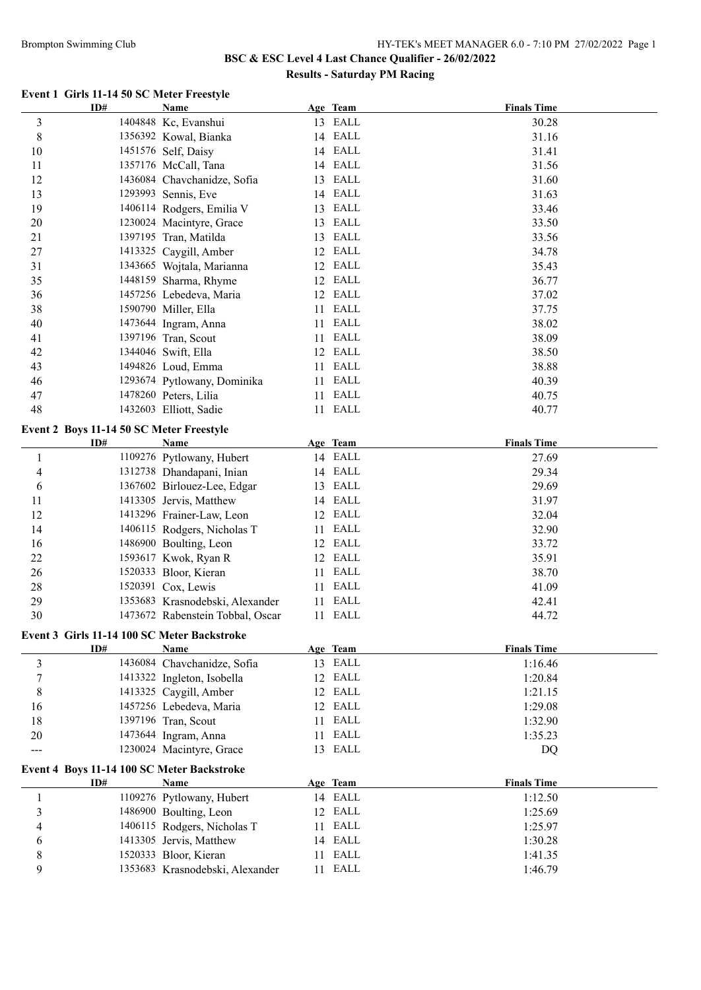#### Brompton Swimming Club HY-TEK's MEET MANAGER 6.0 - 7:10 PM 27/02/2022 Page 1

# **BSC & ESC Level 4 Last Chance Qualifier - 26/02/2022 Results - Saturday PM Racing**

## **Event 1 Girls 11-14 50 SC Meter Freestyle**

| ID#                                         | <b>Name</b>                      |      | Age Team | <b>Finals Time</b> |
|---------------------------------------------|----------------------------------|------|----------|--------------------|
| 3                                           | 1404848 Kc, Evanshui             |      | 13 EALL  | 30.28              |
| $8\,$                                       | 1356392 Kowal, Bianka            |      | 14 EALL  | 31.16              |
| 10                                          | 1451576 Self, Daisy              |      | 14 EALL  | 31.41              |
| 11                                          | 1357176 McCall, Tana             |      | 14 EALL  | 31.56              |
| 12                                          | 1436084 Chavchanidze, Sofia      | 13   | EALL     | 31.60              |
| 13                                          | 1293993 Sennis, Eve              |      | 14 EALL  | 31.63              |
| 19                                          | 1406114 Rodgers, Emilia V        | 13   | EALL     | 33.46              |
| 20                                          | 1230024 Macintyre, Grace         |      | 13 EALL  | 33.50              |
| 21                                          | 1397195 Tran, Matilda            |      | 13 EALL  | 33.56              |
| $27\,$                                      | 1413325 Caygill, Amber           |      | 12 EALL  | 34.78              |
| 31                                          | 1343665 Wojtala, Marianna        |      | 12 EALL  | 35.43              |
| 35                                          | 1448159 Sharma, Rhyme            |      | 12 EALL  | 36.77              |
| 36                                          | 1457256 Lebedeva, Maria          |      | 12 EALL  | 37.02              |
| 38                                          | 1590790 Miller, Ella             |      | 11 EALL  | 37.75              |
| 40                                          | 1473644 Ingram, Anna             | 11   | EALL     | 38.02              |
| 41                                          | 1397196 Tran, Scout              | 11   | EALL     | 38.09              |
| 42                                          | 1344046 Swift, Ella              |      | 12 EALL  | 38.50              |
| 43                                          |                                  |      | EALL     |                    |
|                                             | 1494826 Loud, Emma               | 11   |          | 38.88              |
| 46                                          | 1293674 Pytlowany, Dominika      |      | 11 EALL  | 40.39              |
| 47                                          | 1478260 Peters, Lilia            | 11 - | EALL     | 40.75              |
| 48                                          | 1432603 Elliott, Sadie           |      | 11 EALL  | 40.77              |
| Event 2 Boys 11-14 50 SC Meter Freestyle    |                                  |      |          |                    |
| ID#                                         | Name                             |      | Age Team | <b>Finals Time</b> |
| $\mathbf{1}$                                | 1109276 Pytlowany, Hubert        |      | 14 EALL  | 27.69              |
| 4                                           | 1312738 Dhandapani, Inian        |      | 14 EALL  | 29.34              |
| 6                                           | 1367602 Birlouez-Lee, Edgar      |      | 13 EALL  | 29.69              |
| 11                                          | 1413305 Jervis, Matthew          |      | 14 EALL  | 31.97              |
| 12                                          | 1413296 Frainer-Law, Leon        |      | 12 EALL  | 32.04              |
| 14                                          | 1406115 Rodgers, Nicholas T      | 11.  | EALL     | 32.90              |
| 16                                          | 1486900 Boulting, Leon           |      | 12 EALL  | 33.72              |
| 22                                          | 1593617 Kwok, Ryan R             |      | 12 EALL  | 35.91              |
| 26                                          | 1520333 Bloor, Kieran            |      | 11 EALL  | 38.70              |
| 28                                          | 1520391 Cox, Lewis               |      | 11 EALL  | 41.09              |
| 29                                          | 1353683 Krasnodebski, Alexander  |      | 11 EALL  | 42.41              |
| 30                                          | 1473672 Rabenstein Tobbal, Oscar |      | 11 EALL  | 44.72              |
|                                             |                                  |      |          |                    |
| Event 3 Girls 11-14 100 SC Meter Backstroke |                                  |      |          |                    |
| ID#                                         | Name                             |      | Age Team | <b>Finals Time</b> |
| 3                                           | 1436084 Chavchanidze, Sofia      |      | 13 EALL  | 1:16.46            |
| 7                                           | 1413322 Ingleton, Isobella       |      | 12 EALL  | 1:20.84            |
| 8                                           | 1413325 Caygill, Amber           |      | 12 EALL  | 1:21.15            |
| 16                                          | 1457256 Lebedeva, Maria          |      | 12 EALL  | 1:29.08            |
| 18                                          | 1397196 Tran, Scout              | 11-  | EALL     | 1:32.90            |
| $20\,$                                      | 1473644 Ingram, Anna             | 11   | EALL     | 1:35.23            |
| ---                                         | 1230024 Macintyre, Grace         |      | 13 EALL  | DQ                 |
| Event 4 Boys 11-14 100 SC Meter Backstroke  |                                  |      |          |                    |
| ID#                                         | Name                             |      | Age Team | <b>Finals Time</b> |
| $\mathbf{1}$                                | 1109276 Pytlowany, Hubert        |      | 14 EALL  | 1:12.50            |
| 3                                           | 1486900 Boulting, Leon           |      | 12 EALL  | 1:25.69            |
| 4                                           | 1406115 Rodgers, Nicholas T      | 11-  | EALL     | 1:25.97            |
| 6                                           | 1413305 Jervis, Matthew          |      | 14 EALL  | 1:30.28            |
| 8                                           | 1520333 Bloor, Kieran            |      | 11 EALL  | 1:41.35            |
| 9                                           | 1353683 Krasnodebski, Alexander  |      | 11 EALL  | 1:46.79            |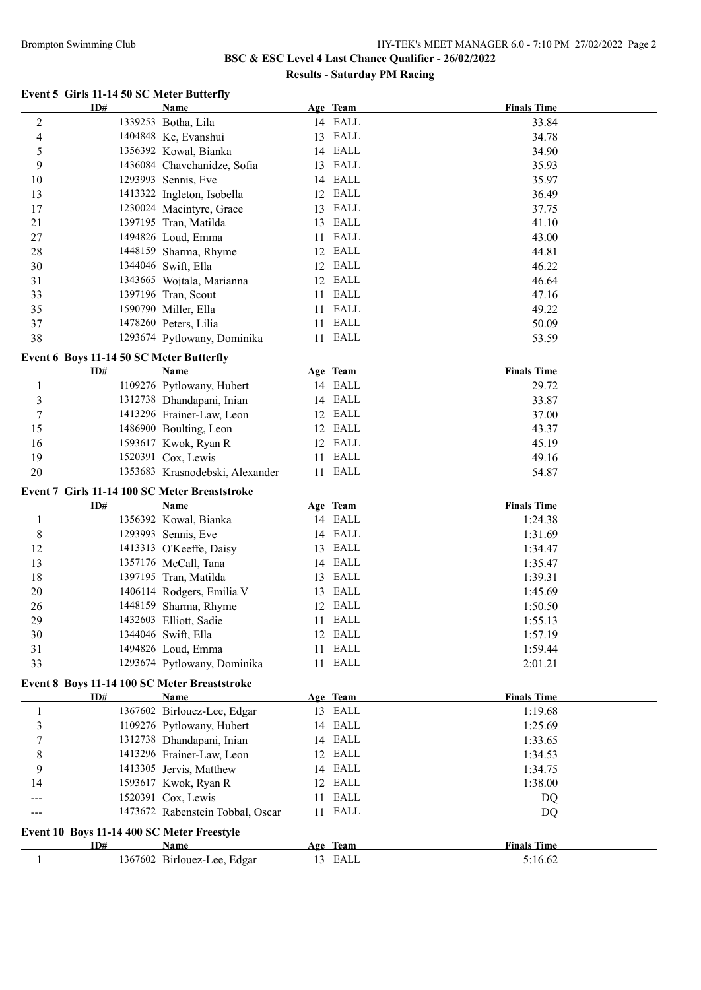#### Brompton Swimming Club HY-TEK's MEET MANAGER 6.0 - 7:10 PM 27/02/2022 Page 2

# **BSC & ESC Level 4 Last Chance Qualifier - 26/02/2022 Results - Saturday PM Racing**

## **Event 5 Girls 11-14 50 SC Meter Butterfly**

|                | ID#                                           | Name                                |    | Age Team            | <b>Finals Time</b>            |  |
|----------------|-----------------------------------------------|-------------------------------------|----|---------------------|-------------------------------|--|
| 2              |                                               | 1339253 Botha, Lila                 |    | 14 EALL             | 33.84                         |  |
| 4              |                                               | 1404848 Kc, Evanshui                |    | 13 EALL             | 34.78                         |  |
| 5              |                                               | 1356392 Kowal, Bianka               |    | 14 EALL             | 34.90                         |  |
| 9              |                                               | 1436084 Chavchanidze, Sofia         |    | 13 EALL             | 35.93                         |  |
| 10             |                                               | 1293993 Sennis, Eve                 |    | 14 EALL             | 35.97                         |  |
| 13             |                                               | 1413322 Ingleton, Isobella          |    | 12 EALL             | 36.49                         |  |
| 17             |                                               | 1230024 Macintyre, Grace            |    | 13 EALL             | 37.75                         |  |
| 21             |                                               | 1397195 Tran, Matilda               |    | 13 EALL             | 41.10                         |  |
| $27\,$         |                                               | 1494826 Loud, Emma                  |    | 11 EALL             | 43.00                         |  |
| 28             |                                               | 1448159 Sharma, Rhyme               |    | 12 EALL             | 44.81                         |  |
| 30             |                                               | 1344046 Swift, Ella                 |    | 12 EALL             | 46.22                         |  |
| 31             |                                               | 1343665 Wojtala, Marianna           |    | 12 EALL             | 46.64                         |  |
| 33             |                                               | 1397196 Tran, Scout                 | 11 | EALL                | 47.16                         |  |
| 35             |                                               | 1590790 Miller, Ella                | 11 | EALL                | 49.22                         |  |
| 37             |                                               | 1478260 Peters, Lilia               | 11 | EALL                | 50.09                         |  |
| 38             |                                               | 1293674 Pytlowany, Dominika         |    | 11 EALL             | 53.59                         |  |
|                |                                               |                                     |    |                     |                               |  |
|                | Event 6 Boys 11-14 50 SC Meter Butterfly      |                                     |    |                     |                               |  |
|                | ID#                                           | Name                                |    | Age Team            | <b>Finals Time</b>            |  |
| 1              |                                               | 1109276 Pytlowany, Hubert           |    | 14 EALL             | 29.72                         |  |
| 3              |                                               | 1312738 Dhandapani, Inian           |    | 14 EALL             | 33.87                         |  |
| $\overline{7}$ |                                               | 1413296 Frainer-Law, Leon           |    | 12 EALL             | 37.00                         |  |
| 15             |                                               | 1486900 Boulting, Leon              |    | 12 EALL             | 43.37                         |  |
| 16             |                                               | 1593617 Kwok, Ryan R                |    | 12 EALL             | 45.19                         |  |
| 19             |                                               | 1520391 Cox, Lewis                  | 11 | EALL                | 49.16                         |  |
| 20             |                                               | 1353683 Krasnodebski, Alexander     |    | 11 EALL             | 54.87                         |  |
|                |                                               |                                     |    |                     |                               |  |
|                | Event 7 Girls 11-14 100 SC Meter Breaststroke |                                     |    |                     |                               |  |
|                | ID#                                           | Name                                |    | Age Team            | <b>Finals Time</b>            |  |
| 1              |                                               | 1356392 Kowal, Bianka               |    | 14 EALL             | 1:24.38                       |  |
| $\,$ $\,$      |                                               | 1293993 Sennis, Eve                 |    | 14 EALL             | 1:31.69                       |  |
| 12             |                                               | 1413313 O'Keeffe, Daisy             |    | 13 EALL             | 1:34.47                       |  |
| 13             |                                               | 1357176 McCall, Tana                |    | 14 EALL             | 1:35.47                       |  |
| 18             |                                               | 1397195 Tran, Matilda               |    | 13 EALL             | 1:39.31                       |  |
| $20\,$         |                                               | 1406114 Rodgers, Emilia V           |    | 13 EALL             | 1:45.69                       |  |
| 26             |                                               | 1448159 Sharma, Rhyme               | 12 | EALL                | 1:50.50                       |  |
| 29             |                                               | 1432603 Elliott, Sadie              |    | 11 EALL             | 1:55.13                       |  |
| 30             |                                               | 1344046 Swift, Ella                 |    | 12 EALL             | 1:57.19                       |  |
| 31             |                                               | 1494826 Loud, Emma                  |    | 11 EALL             | 1:59.44                       |  |
| 33             |                                               | 1293674 Pytlowany, Dominika         |    | 11 EALL             | 2:01.21                       |  |
|                |                                               |                                     |    |                     |                               |  |
|                | Event 8 Boys 11-14 100 SC Meter Breaststroke  |                                     |    |                     |                               |  |
|                | ID#                                           | <b>Name</b>                         |    | Age Team            | <b>Finals Time</b>            |  |
| 1              |                                               | 1367602 Birlouez-Lee, Edgar         |    | 13 EALL             | 1:19.68                       |  |
| 3              |                                               | 1109276 Pytlowany, Hubert           |    | 14 EALL             | 1:25.69                       |  |
| 7              |                                               | 1312738 Dhandapani, Inian           |    | 14 EALL             | 1:33.65                       |  |
| 8              |                                               | 1413296 Frainer-Law, Leon           |    | 12 EALL             | 1:34.53                       |  |
| 9              |                                               | 1413305 Jervis, Matthew             |    | 14 EALL             | 1:34.75                       |  |
| 14             |                                               | 1593617 Kwok, Ryan R                |    | 12 EALL             | 1:38.00                       |  |
|                |                                               | 1520391 Cox, Lewis                  |    | 11 EALL             | DQ                            |  |
|                |                                               | 1473672 Rabenstein Tobbal, Oscar    |    | 11 EALL             | DQ                            |  |
|                | Event 10 Boys 11-14 400 SC Meter Freestyle    |                                     |    |                     |                               |  |
| $\mathbf{1}$   | ID#                                           | Name<br>1367602 Birlouez-Lee, Edgar |    | Age Team<br>13 EALL | <b>Finals Time</b><br>5:16.62 |  |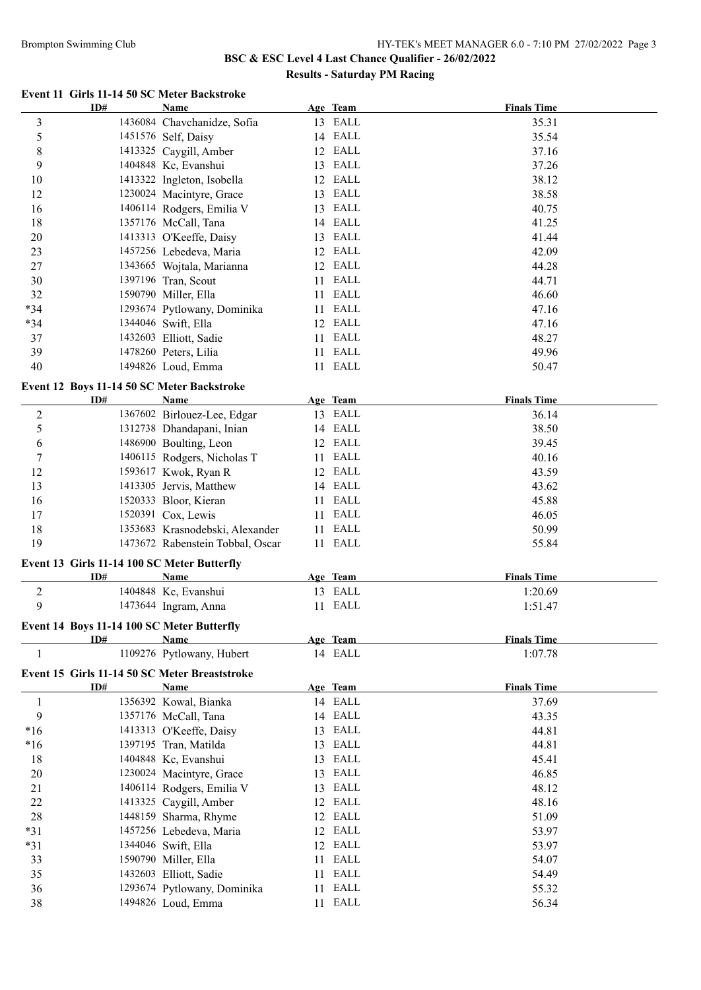### Brompton Swimming Club HY-TEK's MEET MANAGER 6.0 - 7:10 PM 27/02/2022 Page 3

## **BSC & ESC Level 4 Last Chance Qualifier - 26/02/2022 Results - Saturday PM Racing**

#### **Event 11 Girls 11-14 50 SC Meter Backstroke**

|                  | ID#                                         | <b>Name</b>                                   |     | Age Team | <b>Finals Time</b> |
|------------------|---------------------------------------------|-----------------------------------------------|-----|----------|--------------------|
| 3                |                                             | 1436084 Chavchanidze, Sofia                   |     | 13 EALL  | 35.31              |
| 5                |                                             | 1451576 Self, Daisy                           |     | 14 EALL  | 35.54              |
| 8                |                                             | 1413325 Caygill, Amber                        |     | 12 EALL  | 37.16              |
| 9                |                                             | 1404848 Kc, Evanshui                          |     | 13 EALL  | 37.26              |
| 10               |                                             | 1413322 Ingleton, Isobella                    |     | 12 EALL  | 38.12              |
| 12               |                                             | 1230024 Macintyre, Grace                      |     | 13 EALL  | 38.58              |
| 16               |                                             | 1406114 Rodgers, Emilia V                     | 13  | EALL     | 40.75              |
| 18               |                                             | 1357176 McCall, Tana                          |     | 14 EALL  | 41.25              |
| $20\,$           |                                             | 1413313 O'Keeffe, Daisy                       | 13  | EALL     | 41.44              |
| 23               |                                             | 1457256 Lebedeva, Maria                       |     | 12 EALL  | 42.09              |
| 27               |                                             | 1343665 Wojtala, Marianna                     |     | 12 EALL  | 44.28              |
| 30               |                                             | 1397196 Tran, Scout                           | 11  | EALL     | 44.71              |
| 32               |                                             | 1590790 Miller, Ella                          | 11  | EALL     | 46.60              |
| $*34$            |                                             | 1293674 Pytlowany, Dominika                   | 11  | EALL     | 47.16              |
| $*34$            |                                             | 1344046 Swift, Ella                           |     | 12 EALL  | 47.16              |
| 37               |                                             | 1432603 Elliott, Sadie                        | 11  | EALL     | 48.27              |
| 39               |                                             | 1478260 Peters, Lilia                         | 11  | EALL     | 49.96              |
| 40               |                                             | 1494826 Loud, Emma                            |     | 11 EALL  | 50.47              |
|                  |                                             |                                               |     |          |                    |
|                  | Event 12 Boys 11-14 50 SC Meter Backstroke  |                                               |     |          |                    |
|                  | ID#                                         | Name                                          |     | Age Team | <b>Finals Time</b> |
| $\overline{c}$   |                                             | 1367602 Birlouez-Lee, Edgar                   |     | 13 EALL  | 36.14              |
| 5                |                                             | 1312738 Dhandapani, Inian                     |     | 14 EALL  | 38.50              |
| 6                |                                             | 1486900 Boulting, Leon                        |     | 12 EALL  | 39.45              |
| $\boldsymbol{7}$ |                                             | 1406115 Rodgers, Nicholas T                   | 11. | EALL     | 40.16              |
| 12               |                                             | 1593617 Kwok, Ryan R                          |     | 12 EALL  | 43.59              |
| 13               |                                             | 1413305 Jervis, Matthew                       |     | 14 EALL  | 43.62              |
| 16               |                                             | 1520333 Bloor, Kieran                         | 11  | EALL     | 45.88              |
| 17               |                                             | 1520391 Cox, Lewis                            | 11  | EALL     | 46.05              |
| 18               |                                             | 1353683 Krasnodebski, Alexander               | 11  | EALL     | 50.99              |
| 19               |                                             | 1473672 Rabenstein Tobbal, Oscar              |     | 11 EALL  | 55.84              |
|                  | Event 13 Girls 11-14 100 SC Meter Butterfly |                                               |     |          |                    |
|                  | ID#                                         | <b>Name</b>                                   |     | Age Team | <b>Finals Time</b> |
| $\overline{c}$   |                                             | 1404848 Kc, Evanshui                          |     | 13 EALL  | 1:20.69            |
| 9                |                                             | 1473644 Ingram, Anna                          |     | 11 EALL  | 1:51.47            |
|                  |                                             |                                               |     |          |                    |
|                  | Event 14 Boys 11-14 100 SC Meter Butterfly  |                                               |     |          |                    |
|                  | ID#                                         | <b>Name</b>                                   |     | Age Team | <b>Finals Time</b> |
| 1                |                                             | 1109276 Pytlowany, Hubert                     |     | 14 EALL  | 1:07.78            |
|                  |                                             | Event 15 Girls 11-14 50 SC Meter Breaststroke |     |          |                    |
|                  | ID#                                         | Name                                          |     | Age Team | <b>Finals Time</b> |
| $\mathbf{1}$     |                                             | 1356392 Kowal, Bianka                         |     | 14 EALL  | 37.69              |
| $\mathbf{9}$     |                                             | 1357176 McCall, Tana                          |     | 14 EALL  | 43.35              |
| $*16$            |                                             | 1413313 O'Keeffe, Daisy                       |     | 13 EALL  | 44.81              |
| $*16$            |                                             | 1397195 Tran, Matilda                         |     | 13 EALL  | 44.81              |
| 18               |                                             | 1404848 Kc, Evanshui                          | 13  | EALL     | 45.41              |
| $20\,$           |                                             | 1230024 Macintyre, Grace                      | 13  | EALL     | 46.85              |
| 21               |                                             | 1406114 Rodgers, Emilia V                     | 13  | EALL     | 48.12              |
| $22\,$           |                                             | 1413325 Caygill, Amber                        | 12  | EALL     | 48.16              |
| 28               |                                             | 1448159 Sharma, Rhyme                         | 12  | EALL     | 51.09              |
| $*31$            |                                             | 1457256 Lebedeva, Maria                       | 12  | EALL     | 53.97              |
| $*31$            |                                             | 1344046 Swift, Ella                           | 12  | EALL     | 53.97              |
| 33               |                                             | 1590790 Miller, Ella                          | 11  | EALL     | 54.07              |
| 35               |                                             | 1432603 Elliott, Sadie                        | 11  | EALL     | 54.49              |
| 36               |                                             | 1293674 Pytlowany, Dominika                   | 11  | EALL     | 55.32              |
| $38\,$           |                                             | 1494826 Loud, Emma                            |     | 11 EALL  | 56.34              |